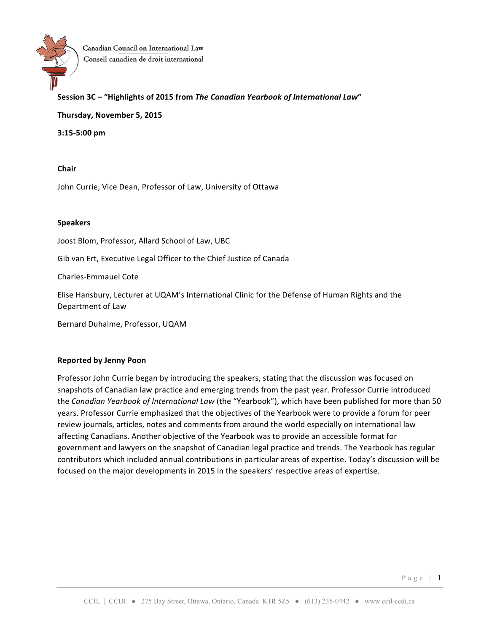

Canadian Council on International Law Conseil canadien de droit international

## **Session 3C – "Highlights of 2015 from** *The Canadian Yearbook of International Law***"**

**Thursday, November 5, 2015**

**3:15-5:00 pm**

**Chair**

John Currie, Vice Dean, Professor of Law, University of Ottawa

#### **Speakers**

Joost Blom, Professor, Allard School of Law, UBC

Gib van Ert, Executive Legal Officer to the Chief Justice of Canada

Charles-Emmauel Cote

Elise Hansbury, Lecturer at UQAM's International Clinic for the Defense of Human Rights and the Department of Law

Bernard Duhaime, Professor, UQAM

#### **Reported by Jenny Poon**

Professor John Currie began by introducing the speakers, stating that the discussion was focused on snapshots of Canadian law practice and emerging trends from the past year. Professor Currie introduced the *Canadian Yearbook of International Law* (the "Yearbook"), which have been published for more than 50 years. Professor Currie emphasized that the objectives of the Yearbook were to provide a forum for peer review journals, articles, notes and comments from around the world especially on international law affecting Canadians. Another objective of the Yearbook was to provide an accessible format for government and lawyers on the snapshot of Canadian legal practice and trends. The Yearbook has regular contributors which included annual contributions in particular areas of expertise. Today's discussion will be focused on the major developments in 2015 in the speakers' respective areas of expertise.

Page | 1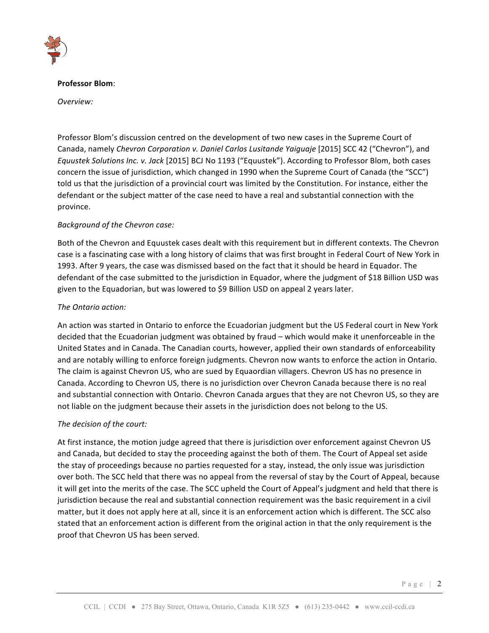

#### **Professor Blom**:

*Overview:*

Professor Blom's discussion centred on the development of two new cases in the Supreme Court of Canada, namely *Chevron Corporation v. Daniel Carlos Lusitande Yaiguaje* [2015] SCC 42 ("Chevron"), and *Equustek Solutions Inc. v. Jack* [2015] BCJ No 1193 ("Equustek"). According to Professor Blom, both cases concern the issue of jurisdiction, which changed in 1990 when the Supreme Court of Canada (the "SCC") told us that the jurisdiction of a provincial court was limited by the Constitution. For instance, either the defendant or the subject matter of the case need to have a real and substantial connection with the province.

## *Background of the Chevron case:*

Both of the Chevron and Equustek cases dealt with this requirement but in different contexts. The Chevron case is a fascinating case with a long history of claims that was first brought in Federal Court of New York in 1993. After 9 years, the case was dismissed based on the fact that it should be heard in Equador. The defendant of the case submitted to the jurisdiction in Equador, where the judgment of \$18 Billion USD was given to the Equadorian, but was lowered to \$9 Billion USD on appeal 2 years later.

## *The Ontario action:*

An action was started in Ontario to enforce the Ecuadorian judgment but the US Federal court in New York decided that the Ecuadorian judgment was obtained by fraud – which would make it unenforceable in the United States and in Canada. The Canadian courts, however, applied their own standards of enforceability and are notably willing to enforce foreign judgments. Chevron now wants to enforce the action in Ontario. The claim is against Chevron US, who are sued by Equaordian villagers. Chevron US has no presence in Canada. According to Chevron US, there is no jurisdiction over Chevron Canada because there is no real and substantial connection with Ontario. Chevron Canada argues that they are not Chevron US, so they are not liable on the judgment because their assets in the jurisdiction does not belong to the US.

## The decision of the court:

At first instance, the motion judge agreed that there is jurisdiction over enforcement against Chevron US and Canada, but decided to stay the proceeding against the both of them. The Court of Appeal set aside the stay of proceedings because no parties requested for a stay, instead, the only issue was jurisdiction over both. The SCC held that there was no appeal from the reversal of stay by the Court of Appeal, because it will get into the merits of the case. The SCC upheld the Court of Appeal's judgment and held that there is jurisdiction because the real and substantial connection requirement was the basic requirement in a civil matter, but it does not apply here at all, since it is an enforcement action which is different. The SCC also stated that an enforcement action is different from the original action in that the only requirement is the proof that Chevron US has been served.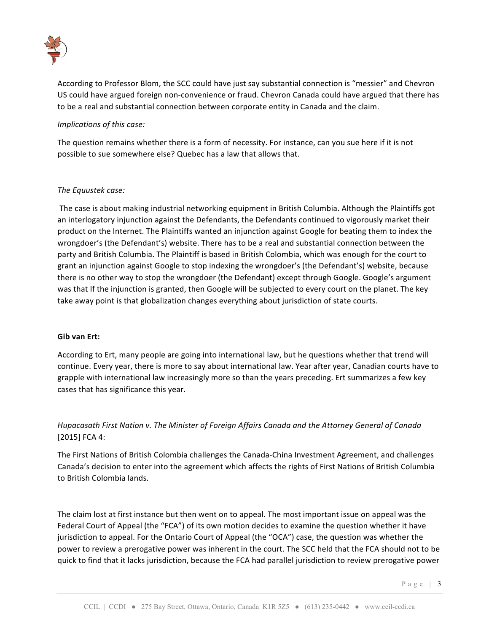

According to Professor Blom, the SCC could have just say substantial connection is "messier" and Chevron US could have argued foreign non-convenience or fraud. Chevron Canada could have argued that there has to be a real and substantial connection between corporate entity in Canada and the claim.

### *Implications of this case:*

The question remains whether there is a form of necessity. For instance, can you sue here if it is not possible to sue somewhere else? Quebec has a law that allows that.

#### **The Equustek case:**

The case is about making industrial networking equipment in British Columbia. Although the Plaintiffs got an interlogatory injunction against the Defendants, the Defendants continued to vigorously market their product on the Internet. The Plaintiffs wanted an injunction against Google for beating them to index the wrongdoer's (the Defendant's) website. There has to be a real and substantial connection between the party and British Columbia. The Plaintiff is based in British Colombia, which was enough for the court to grant an injunction against Google to stop indexing the wrongdoer's (the Defendant's) website, because there is no other way to stop the wrongdoer (the Defendant) except through Google. Google's argument was that If the injunction is granted, then Google will be subjected to every court on the planet. The key take away point is that globalization changes everything about jurisdiction of state courts.

#### **Gib van Ert:**

According to Ert, many people are going into international law, but he questions whether that trend will continue. Every year, there is more to say about international law. Year after year, Canadian courts have to grapple with international law increasingly more so than the years preceding. Ert summarizes a few key cases that has significance this year.

# *Hupacasath First Nation v. The Minister of Foreign Affairs Canada and the Attorney General of Canada* [2015] FCA 4:

The First Nations of British Colombia challenges the Canada-China Investment Agreement, and challenges Canada's decision to enter into the agreement which affects the rights of First Nations of British Columbia to British Colombia lands.

The claim lost at first instance but then went on to appeal. The most important issue on appeal was the Federal Court of Appeal (the "FCA") of its own motion decides to examine the question whether it have jurisdiction to appeal. For the Ontario Court of Appeal (the "OCA") case, the question was whether the power to review a prerogative power was inherent in the court. The SCC held that the FCA should not to be quick to find that it lacks jurisdiction, because the FCA had parallel jurisdiction to review prerogative power